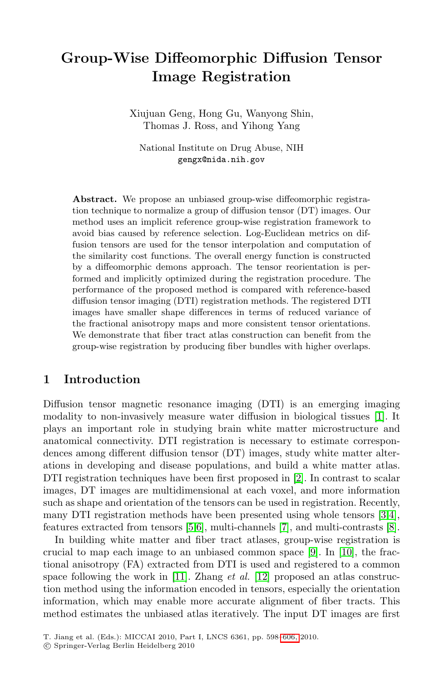# **Group-Wise Diffeomorphic Diffusion Tensor Image Registration**

Xiujuan Geng, Hong Gu, Wanyong Shin, Thomas J. Ross, and Yihong Yang

National Institute on Drug Abuse, NIH gengx@nida.nih.gov

**Abstract.** We propose an unbiased group-wise diffeomorphic registration technique to normalize a group of diffusion tensor (DT) images. Our method uses an implicit reference group-wise registration framework to avoid bias caused by reference selection. Log-Euclidean metrics on diffusion tensors are used for the tensor interpolation and computation of the similarity cost functions. The overall energy function is constructed by a diffeomorphic demons approach. The tensor reorientation is performed and implicitly optimized during the registration procedure. The performance of the proposed method is compared with reference-based diffusion tensor imaging (DTI) registration methods. The registered DTI images have smaller shape differences in terms of reduced variance of the fractional anisotropy maps and more consistent [te](#page-7-0)nsor orientations. We demonstrate that fiber tract atlas construction can benefit from the group-wise registration by producing fiber bundles with higher overlaps.

## **1 Introduction**

Diffusion tensor magnetic resonance imaging (DTI) is an emerging imaging modality to non-invasively measure water diffusion in [bi](#page-7-1)[ol](#page-7-2)ogical tissues [1]. It plays an im[po](#page-7-3)[rt](#page-7-4)ant role in stud[yin](#page-7-5)g brain white matt[er](#page-7-6) microstructure and anatomical connectivity. DTI registration is necessary to estimate correspondences among different diffusion tensor [\(D](#page-7-7)T) i[mag](#page-7-8)es, study white matter alterations in developing and disease populations, and build a white matter atlas. DTI regis[trat](#page-7-9)ion techniques [hav](#page-7-10)e been first proposed in [2]. In contrast to scalar images, DT images are multidimensional at each voxel, and more information such as shape and orientation of the tensors can be used in registration. Recently, many DTI registration methods have been presented using whole tensors [3,4], features extracted from tensors [5,6], multi-channels [7], and multi-contrasts [8].

In building white matter and [fiber](#page-8-0) tract atlases, group-wise registration is crucial to map each image to an unbiased common space [9]. In [10], the fractional anisotropy (FA) extracted from DTI is used and registered to a common space following the work in [11]. Zhang *et al.* [12] proposed an atlas construction method using the information encoded in tensors, especially the orientation information, which may enable more accurate alignment of fiber tracts. This method estimates the unbiased atlas iteratively. The input DT images are first

T. Jiang et al. (Eds.): MICCAI 2010, Part I, LNCS 6361, pp. 598–606, 2010.

<sup>-</sup>c Springer-Verlag Berlin Heidelberg 2010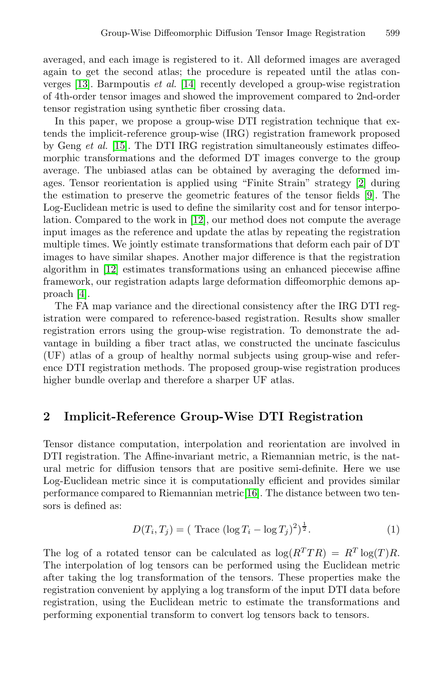averaged, and each image is registered to it. All deformed images are averaged again to get the second atlas; the procedure is repeated until the atlas converges [13]. Barmpoutis *et al.* [14] recently develo[ped](#page-7-11) a group-wise registration of 4th-order tensor images and showed the improvem[en](#page-7-7)t compared to 2nd-order tensor registration using synthetic fiber crossing data.

In this pap[er,](#page-7-10) we propose a group-wise DTI registration technique that extends the implicit-reference group-wise (IRG) registration framework proposed by Geng *et al.* [15]. The DTI IRG registration simultaneously estimates diffeomorphic transformations and the deformed DT images converge to the group average. The unbiased atlas can be obtained by averaging the deformed images. Tensor reorientation is applied using "Finite Strain" strategy [2] during the estimation to preserve the geometric features of the tensor fields [9]. The Log-Euclidean metric is used to define the similarity cost and for tensor interpolation. Compared to the work in [12], our method does not compute the average input images as the reference and update the atlas by repeating the registration multiple times. We jointly estimate transformations that deform each pair of DT images to have similar shapes. Another major difference is that the registration algorithm in [12] estimates transformations using an enhanced piecewise affine framework, our registration adapts large deformation diffeomorphic demons approach [4].

The FA map variance and the directional consistency after the IRG DTI registration were compared to reference-based registration. Results show smaller registration errors using the group-wise registration. To demonstrate the advantage in building a fiber tract atlas, we constructed the uncinate fasciculus (UF) atlas of a group of healthy normal subjects using group-wise and reference DTI registration methods. The proposed group-wise registration produces higher bundle overlap and therefore a sharper UF atlas.

### **2 Implicit-Reference Group-Wise DTI Registration**

Tensor distance computation, interpolation and reorientation are involved in DTI registration. The Affine-invariant metric, a Riemannian metric, is the natural metric for diffusion tensors that are positive semi-definite. Here we use Log-Euclidean metric since it is computationally efficient and provides similar performance compared to Riemannian metric[16]. The distance between two tensors is defined as:

$$
D(T_i, T_j) = (\text{Trace } (\log T_i - \log T_j)^2)^{\frac{1}{2}}.
$$
 (1)

The log of a rotated tensor can be calculated as  $\log(R^TTR) = R^T \log(T)R$ . The interpolation of log tensors can be performed using the Euclidean metric after taking the log transformation of the tensors. These properties make the registration convenient by applying a log transform of the input DTI data before registration, using the Euclidean metric to estimate the transformations and performing exponential transform to convert log tensors back to tensors.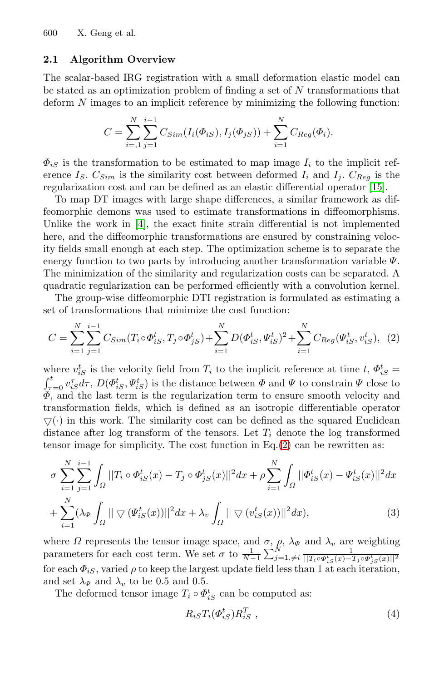<span id="page-2-0"></span>600 X. Geng et al.

#### **2.1 Algorithm Overview**

The scalar-based IRG registration with a small deformation elastic model can be stated as an optimization problem [of](#page-7-12) finding a set of  $N$  transformations that deform  $N$  images to an implicit reference by minimizing the following function:

$$
C = \sum_{i=1}^{N} \sum_{j=1}^{i-1} C_{Sim}(I_i(\Phi_{iS}), I_j(\Phi_{jS})) + \sum_{i=1}^{N} C_{Reg}(\Phi_i).
$$

 $\Phi_{iS}$  is the transformation to be estimated to map image  $I_i$  to the implicit ref-<br>exerce  $I_i$   $C_i$  is the similarity gest between defermed  $I_i$  and  $I_i$   $C_i$  is the erence  $I_S$ .  $C_{Sim}$  is the similarity cost between deformed  $I_i$  and  $I_j$ .  $C_{Reg}$  is the regularization cost and can be defined as an elastic differential operator [15].

To map DT images with large shape differences, a similar framework as diffeomorphic demons was used to estimate transformations in diffeomorphisms. Unlike the work in [4], the exact finite strain differential is not implemented here, and the diffeomorphic transformations are ensured by constraining velocity fields small enough at each step. The optimization scheme is to separate the energy function to two parts by introducing another transformation variable  $\Psi$ . The minimization of the similarity and regularization costs can be separated. A quadratic regularization can be performed efficiently with a convolution kernel.

The group-wise diffeomorphic DTI registration is formulated as estimating a set of transformations that minimize the cost function:

$$
C = \sum_{i=1}^{N} \sum_{j=1}^{i-1} C_{Sim}(T_i \circ \Phi_{iS}^t, T_j \circ \Phi_{jS}^t) + \sum_{i=1}^{N} D(\Phi_{iS}^t, \Psi_{iS}^t)^2 + \sum_{i=1}^{N} C_{Reg}(\Psi_{iS}^t, v_{iS}^t), (2)
$$

where  $v_{iS}^t$  is the velocity field from  $T_i$  to the implicit reference at time t,  $\Phi_i^t$ where  $v_{iS}^t$  is the velocity field from  $T_i$  to the implicit reference at time t,  $\Phi_{iS}^t = \int_{\pi=0}^t v_{iS}^{\tau} d\tau$ ,  $D(\Phi_{iS}^t, \Psi_{iS}^t)$  is the distance between  $\Phi$  and  $\Psi$  to constrain  $\Psi$  close to <sup>t</sup><sub> $\tau=0$ </sub>  $v_{iS}^{\tau}d\tau$ ,  $D(\Phi_{iS}^{t}, \Psi_{iS}^{t})$  is the distance between  $\Phi$  and  $\Psi$  to constrain  $\Psi$  close to and the last term is the regularization term to ensure smooth velocity and  $\Phi$ , and the last term is the regularization term to ensure smooth velocity and transformation fields, which is defined as an isotropic differentiable operator  $\nabla(\cdot)$  in this work. The similarity cost can be defined as the squared Euclidean distance after log transform of the tensors. Let  $T_i$  denote the log transformed tensor image for simplicity. The cost function in  $Eq.(2)$  can be rewritten as:

$$
\sigma \sum_{i=1}^{N} \sum_{j=1}^{i-1} \int_{\Omega} ||T_i \circ \Phi_{iS}^t(x) - T_j \circ \Phi_{jS}^t(x)||^2 dx + \rho \sum_{i=1}^{N} \int_{\Omega} ||\Phi_{iS}^t(x) - \Psi_{iS}^t(x)||^2 dx + \sum_{i=1}^{N} (\lambda \Psi \int_{\Omega} || \nabla (\Psi_{iS}^t(x))||^2 dx + \lambda \Psi \int_{\Omega} || \nabla (\Psi_{iS}^t(x))||^2 dx),
$$
\n(3)

<span id="page-2-1"></span>where  $\Omega$  represents the tensor image space, and  $\sigma$ ,  $\rho$ ,  $\lambda \Psi$  and  $\lambda_v$  are weighting parameters for each cost term. We set  $\sigma$  to  $\frac{1}{N-1} \sum_{j=1,\neq i}^{N} \frac{1}{||T_i \circ \Phi_{iS}^t(x) - T_j \circ \Phi_{jS}^t(x)||^2}$ for each  $\Phi_{iS}$ , varied  $\rho$  to keep the largest update field less than 1 at each iteration, and set  $\lambda_{\Psi}$  and  $\lambda_{v}$  to be 0.5 and 0.5.

The deformed tensor image  $T_i \circ \Phi_{iS}^t$  can be computed as:

$$
R_{iS}T_i(\Phi_{iS}^t)R_{iS}^T\t\t(4)
$$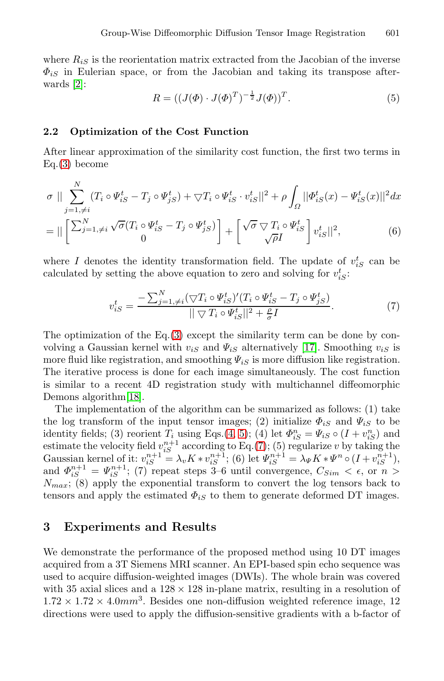<span id="page-3-0"></span>where  $R_{iS}$  is the reorientation matrix extracted from the Jacobian of the inverse  $\Phi_{iS}$  in Eulerian space, or from the Jacobian and taking its transpose afterwards [2]:

$$
R = ((J(\Phi) \cdot J(\Phi)^{T})^{-\frac{1}{2}} J(\Phi))^{T}.
$$
\n
$$
(5)
$$

#### **2.2 Optimization of the Cost Function**

After linear approximation of the similarity cost function, the first two terms in Eq.(3) become

<span id="page-3-1"></span>
$$
\sigma \parallel \sum_{j=1,\neq i}^{N} (T_i \circ \Psi_{iS}^t - T_j \circ \Psi_{jS}^t) + \nabla T_i \circ \Psi_{iS}^t \cdot v_{iS}^t ||^2 + \rho \int_{\Omega} ||\Phi_{iS}^t(x) - \Psi_{iS}^t(x)||^2 dx
$$
  
= 
$$
||\left[\sum_{j=1,\neq i}^{N} \sqrt{\sigma} (T_i \circ \Psi_{iS}^t - T_j \circ \Psi_{jS}^t)\right] + \left[\sqrt{\sigma} \nabla T_i \circ \Psi_{iS}^t\right] v_{iS}^t ||^2, \tag{6}
$$

where I denotes the identity transfor[mat](#page-8-1)ion field. The update of  $v_{iS}^{t}$  can be calculated by setting the above equation to zero and solving for  $v^{t}$ . calculated by setting the above equation to zero and solving for  $v_{is}^t$ :

$$
v_{iS}^{t} = \frac{-\sum_{j=1,\neq i}^{N} (\nabla T_{i} \circ \Psi_{iS}^{t})'(T_{i} \circ \Psi_{iS}^{t} - T_{j} \circ \Psi_{jS}^{t})}{|| \nabla T_{i} \circ \Psi_{iS}^{t}||^{2} + \frac{\rho}{\sigma} I}.
$$
 (7)

T[he](#page-2-1) optimization of the  $Eq.(3)$  except the similarity term can be done by convolving a Gaussian kernel w[ith](#page-3-1)  $v_{iS}$  and  $\Psi_{iS}$  alternatively [17]. Smoothing  $v_{iS}$  is more fluid like registration, and smoothing  $\Psi_{iS}$  is more diffusion like registration. The iterative process is done for each image simultaneously. The cost function is similar to a recent 4D registration study with multichannel diffeomorphic Demons algorithm[18].

The implementation of the algorithm can be summarized as follows: (1) take the log transform of the input tensor images; (2) initialize  $\Phi_{iS}$  and  $\Psi_{iS}$  to be identity fields; (3) reorient  $T_i$  using Eqs.(4, 5); (4) let  $\Phi_{iS}^n = \Psi_{iS} \circ (I + v_{iS}^n)$  and<br>estimate the velocity field  $v_{iS}^{n+1}$  according to Eq.(7); (5) regularize v by taking the<br>Gaussian kernel of it:  $v_{iS}^{n+$  $N_{max}$ ; (8) apply the exponential transform to convert the log tensors back to the convert of  $\Phi$  to them to generate defermed DT images tensors and apply the estimated  $\Phi_{iS}$  to them to generate deformed DT images.

#### **3 Experiments and Results**

We demonstrate the performance of the proposed method using 10 DT images acquired from a 3T Siemens MRI scanner. An EPI-based spin echo sequence was used to acquire diffusion-weighted images (DWIs). The whole brain was covered with 35 axial slices and a  $128 \times 128$  in-plane matrix, resulting in a resolution of  $1.72 \times 1.72 \times 4.0 \text{mm}^3$ . Besides one non-diffusion weighted reference image, 12 directions were used to apply the diffusion-sensitive gradients with a b-factor of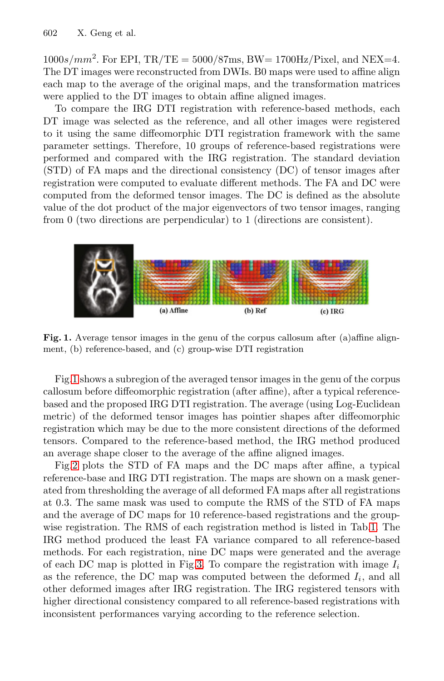#### 602 X. Geng et al.

 $1000s/mm^2$ . For EPI, TR/TE =  $5000/87$ ms, BW=  $1700$ Hz/Pixel, and NEX=4. The DT images were reconstructed from DWIs. B0 maps were used to affine align each map to the average of the original maps, and the transformation matrices were applied to the DT images to obtain affine aligned images.

To compare the IRG DTI registration with reference-based methods, each DT image was selected as the reference, and all other images were registered to it using the same diffeomorphic DTI registration framework with the same parameter settings. Therefore, 10 groups of reference-based registrations were performed and compared with the IRG registration. The standard deviation (STD) of FA maps and the directional consistency (DC) of tensor images after registration were computed to evaluate different methods. The FA and DC were computed from the deformed tensor images. The DC is defined as the absolute value of the dot product of the major eigenvectors of two tensor images, ranging from 0 (two directions are perpendicular) to 1 (directions are consistent).



**Fig. 1.** Average tensor images in the genu of the corpus callosum after (a)affine alignment, (b) reference-based, and (c) group-wise DTI registration

Fig.1 shows a subregion of the averaged tensor images in the genu of the corpus callosum before diffeomorphic registration (after affine), after a typical referencebased and the proposed IRG DTI registration. The average (using Log-Euclidean metric) of the deformed tensor images has pointier shapes after diffeomorphic registration which may be due to the more consistent [di](#page-5-0)rections of the deformed tensors. Compared to the reference-based method, the IRG method produced an average shape closer to the average of the affine aligned images.

Fig.2 plots [th](#page-5-1)e STD of FA maps and the DC maps after affine, a typical reference-base and IRG DTI registration. The maps are shown on a mask generated from thresholding the average of all deformed FA maps after all registrations at 0.3. The same mask was used to compute the RMS of the STD of FA maps and the average of DC maps for 10 reference-based registrations and the groupwise registration. The RMS of each registration method is listed in Tab.1. The IRG method produced the least FA variance compared to all reference-based methods. For each registration, nine DC maps were generated and the average of each DC map is plotted in Fig.3. To compare the registration with image  $I_i$ as the reference, the DC map was computed between the deformed  $I_i$ , and all other deformed images after IRG registration. The IRG registered tensors with higher directional consistency compared to all reference-based registrations with inconsistent performances varying according to the reference selection.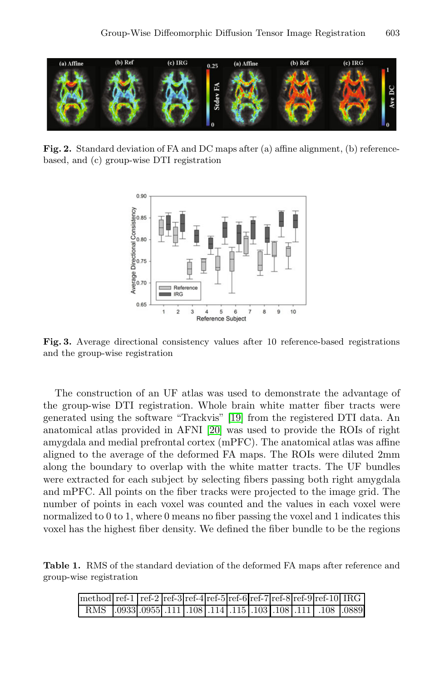

**Fig. 2.** Standard deviation of FA and DC maps after (a) affine alignment, (b) referencebased, and (c) group-wise DTI registration



<span id="page-5-1"></span>**Fig. 3.** Average di[rect](#page-8-2)ional consistency values after 10 reference-based registrations and the group-wise registration

The construction of an UF atlas was used to demonstrate the advantage of the group-wise DTI registration. Whole brain white matter fiber tracts were generated using the software "Trackvis" [19] from the registered DTI data. An anatomical atlas provided in AFNI [20] was used to provide the ROIs of right amygdala and medial prefrontal cortex (mPFC). The anatomical atlas was affine aligned to the average of the deformed FA maps. The ROIs were diluted 2mm along the boundary to overlap with the white matter tracts. The UF bundles were extracted for each subject by selecting fibers passing both right amygdala and mPFC. All points on the fiber tracks were projected to the image grid. The number of points in each voxel was counted and the values in each voxel were normalized to 0 to 1, where 0 means no fiber passing the voxel and 1 indicates this voxel has the highest fiber density. We defined the fiber bundle to be the regions

<span id="page-5-0"></span>**Table 1.** RMS of the standard deviation of the deformed FA maps after reference and group-wise registration

| $[method]$ ref-1 ref-2 ref-3 ref-4 ref-5 ref-6 ref-7 ref-8 ref-9 ref-10 IRG |  |  |  |  |  |  |
|-----------------------------------------------------------------------------|--|--|--|--|--|--|
| RMS   0933 0955   111   108   114   115   103   108   111   108   0889      |  |  |  |  |  |  |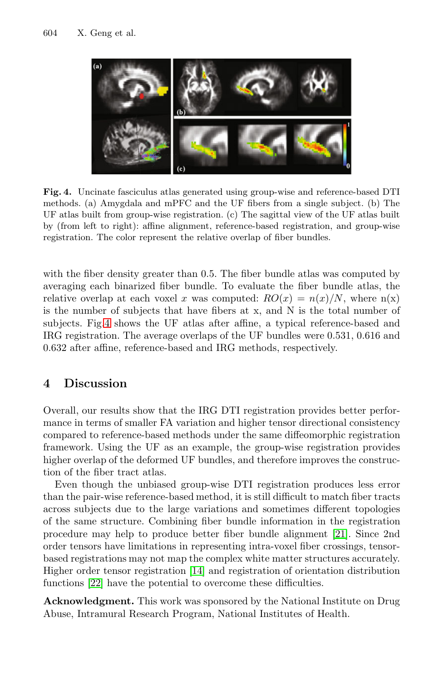#### 604 X. Geng et al.



**Fig. 4.** Uncinate fasciculus atlas generated using group-wise and reference-based DTI methods. (a) Amygdala and mPFC and the UF fibers from a single subject. (b) The UF atlas built from group-wise registration. (c) The sagittal view of the UF atlas built by (from left to right): affine alignment, reference-based registration, and group-wise registration. The color represent the relative overlap of fiber bundles.

with the fiber density greater than 0.5. The fiber bundle atlas was computed by averaging each binarized fiber bundle. To evaluate the fiber bundle atlas, the relative overlap at each voxel x was computed:  $RO(x) = n(x)/N$ , where  $n(x)$ is the number of subjects that have fibers at x, and N is the total number of subjects. Fig.4 shows the UF atlas after affine, a typical reference-based and IRG registration. The average overlaps of the UF bundles were 0.531, 0.616 and 0.632 after affine, reference-based and IRG methods, respectively.

#### **4 Discussion**

Overall, our results show that the IRG DTI registration provides better performance in terms of smaller FA variation and higher tensor directional consistency compared to reference-based methods under t[he s](#page-8-3)ame diffeomorphic registration framework. Using the UF as an example, the group-wise registration provides higher overlap of the deformed UF bundles, and therefore improves the construction of the fib[er t](#page-7-13)ract atlas.

Even though the unbiased group-wise DTI registration produces less error than the pair-wise reference-based method, it is still difficult to match fiber tracts across subjects due to the large variations and sometimes different topologies of the same structure. Combining fiber bundle information in the registration procedure may help to produce better fiber bundle alignment [21]. Since 2nd order tensors have limitations in representing intra-voxel fiber crossings, tensorbased registrations may not map the complex white matter structures accurately. Higher order tensor registration [14] and registration of orientation distribution functions [22] have the potential to overcome these difficulties.

**Acknowledgment.** This work was sponsored by the National Institute on Drug Abuse, Intramural Research Program, National Institutes of Health.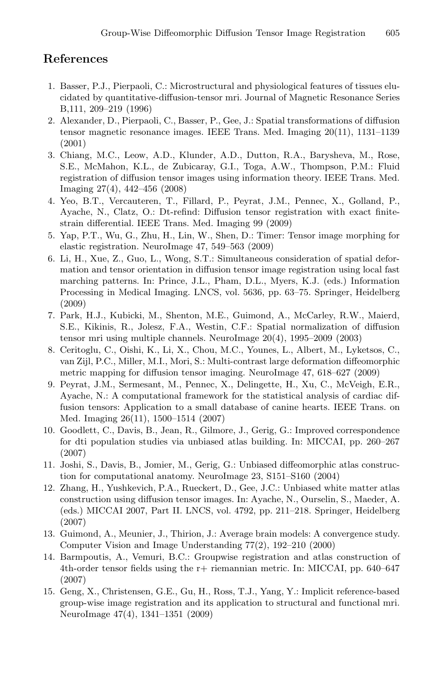## **References**

- <span id="page-7-0"></span>1. Basser, P.J., Pierpaoli, C.: Microstructural and physiological features of tissues elucidated by quantitative-diffusion-tensor mri. Journal of Magnetic Resonance Series B,111, 209–219 (1996)
- <span id="page-7-11"></span>2. Alexander, D., Pierpaoli, C., Basser, P., Gee, J.: Spatial transformations of diffusion tensor magnetic resonance images. IEEE Trans. Med. Imaging 20(11), 1131–1139 (2001)
- <span id="page-7-1"></span>3. Chiang, M.C., Leow, A.D., Klunder, A.D., Dutton, R.A., Barysheva, M., Rose, S.E., McMahon, K.L., de Zubicaray, G.I., Toga, A.W., Thompson, P.M.: Fluid registration of diffusion tensor images using information theory. IEEE Trans. Med. Imaging 27(4), 442–456 (2008)
- <span id="page-7-2"></span>4. Yeo, B.T., Vercauteren, T., Fillard, P., Peyrat, J.M., Pennec, X., Golland, P., Ayache, N., Clatz, O.: Dt-refind: Diffusion tensor registration with exact finitestrain differential. IEEE Trans. Med. Imaging 99 (2009)
- <span id="page-7-3"></span>5. Yap, P.T., Wu, G., Zhu, H., Lin, W., Shen, D.: Timer: Tensor image morphing for elastic registration. NeuroImage 47, 549–563 (2009)
- <span id="page-7-4"></span>6. Li, H., Xue, Z., Guo, L., Wong, S.T.: Simultaneous consideration of spatial deformation and tensor orientation in diffusion tensor image registration using local fast marching patterns. In: Prince, J.L., Pham, D.L., Myers, K.J. (eds.) Information Processing in Medical Imaging. LNCS, vol. 5636, pp. 63–75. Springer, Heidelberg (2009)
- <span id="page-7-5"></span>7. Park, H.J., Kubicki, M., Shenton, M.E., Guimond, A., McCarley, R.W., Maierd, S.E., Kikinis, R., Jolesz, F.A., Westin, C.F.: Spatial normalization of diffusion tensor mri using multiple channels. NeuroImage 20(4), 1995–2009 (2003)
- <span id="page-7-6"></span>8. Ceritoglu, C., Oishi, K., Li, X., Chou, M.C., Younes, L., Albert, M., Lyketsos, C., van Zijl, P.C., Miller, M.I., Mori, S.: Multi-contrast large deformation diffeomorphic metric mapping for diffusion tensor imaging. NeuroImage 47, 618–627 (2009)
- <span id="page-7-7"></span>9. Peyrat, J.M., Sermesant, M., Pennec, X., Delingette, H., Xu, C., McVeigh, E.R., Ayache, N.: A computational framework for the statistical analysis of cardiac diffusion tensors: Application to a small database of canine hearts. IEEE Trans. on Med. Imaging 26(11), 1500–1514 (2007)
- <span id="page-7-8"></span>10. Goodlett, C., Davis, B., Jean, R., Gilmore, J., Gerig, G.: Improved correspondence for dti population studies via unbiased atlas building. In: MICCAI, pp. 260–267 (2007)
- <span id="page-7-9"></span>11. Joshi, S., Davis, B., Jomier, M., Gerig, G.: Unbiased diffeomorphic atlas construction for computational anatomy. NeuroImage 23, S151–S160 (2004)
- <span id="page-7-10"></span>12. Zhang, H., Yushkevich, P.A., Rueckert, D., Gee, J.C.: Unbiased white matter atlas construction using diffusion tensor images. In: Ayache, N., Ourselin, S., Maeder, A. (eds.) MICCAI 2007, Part II. LNCS, vol. 4792, pp. 211–218. Springer, Heidelberg (2007)
- 13. Guimond, A., Meunier, J., Thirion, J.: Average brain models: A convergence study. Computer Vision and Image Understanding 77(2), 192–210 (2000)
- <span id="page-7-13"></span>14. Barmpoutis, A., Vemuri, B.C.: Groupwise registration and atlas construction of 4th-order tensor fields using the r+ riemannian metric. In: MICCAI, pp. 640–647 (2007)
- <span id="page-7-12"></span>15. Geng, X., Christensen, G.E., Gu, H., Ross, T.J., Yang, Y.: Implicit reference-based group-wise image registration and its application to structural and functional mri. NeuroImage 47(4), 1341–1351 (2009)